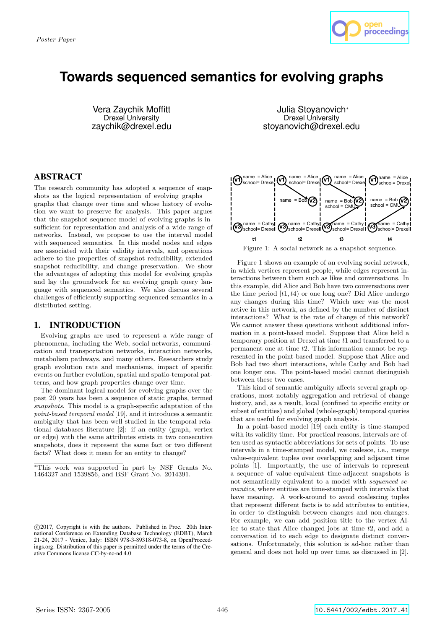

# **Towards sequenced semantics for evolving graphs**

Vera Zaychik Moffitt Drexel University zaychik@drexel.edu

ABSTRACT

The research community has adopted a sequence of snapshots as the logical representation of evolving graphs graphs that change over time and whose history of evolution we want to preserve for analysis. This paper argues that the snapshot sequence model of evolving graphs is insufficient for representation and analysis of a wide range of networks. Instead, we propose to use the interval model with sequenced semantics. In this model nodes and edges are associated with their validity intervals, and operations adhere to the properties of snapshot reducibility, extended snapshot reducibility, and change preservation. We show the advantages of adopting this model for evolving graphs and lay the groundwork for an evolving graph query language with sequenced semantics. We also discuss several challenges of efficiently supporting sequenced semantics in a distributed setting.

## 1. INTRODUCTION

Evolving graphs are used to represent a wide range of phenomena, including the Web, social networks, communication and transportation networks, interaction networks, metabolism pathways, and many others. Researchers study graph evolution rate and mechanisms, impact of specific events on further evolution, spatial and spatio-temporal patterns, and how graph properties change over time.

The dominant logical model for evolving graphs over the past 20 years has been a sequence of static graphs, termed *snapshots*. This model is a graph-specific adaptation of the *point-based temporal model* [19], and it introduces a semantic ambiguity that has been well studied in the temporal relational databases literature [2]: if an entity (graph, vertex or edge) with the same attributes exists in two consecutive snapshots, does it represent the same fact or two different facts? What does it mean for an entity to change?

Julia Stoyanovich<sup>∗</sup> Drexel University stoyanovich@drexel.edu



Figure 1: A social network as a snapshot sequence.

Figure 1 shows an example of an evolving social network, in which vertices represent people, while edges represent interactions between them such as likes and conversations. In this example, did Alice and Bob have two conversations over the time period [*t*1*, t*4) or one long one? Did Alice undergo any changes during this time? Which user was the most active in this network, as defined by the number of distinct interactions? What is the rate of change of this network? We cannot answer these questions without additional information in a point-based model. Suppose that Alice held a temporary position at Drexel at time *t*1 and transferred to a permanent one at time *t*2. This information cannot be represented in the point-based model. Suppose that Alice and Bob had two short interactions, while Cathy and Bob had one longer one. The point-based model cannot distinguish between these two cases.

This kind of semantic ambiguity affects several graph operations, most notably aggregation and retrieval of change history, and, as a result, local (confined to specific entity or subset of entities) and global (whole-graph) temporal queries that are useful for evolving graph analysis.

In a point-based model [19] each entity is time-stamped with its validity time. For practical reasons, intervals are often used as syntactic abbreviations for sets of points. To use intervals in a time-stamped model, we coalesce, i.e., merge value-equivalent tuples over overlapping and adjacent time points [1]. Importantly, the use of intervals to represent a sequence of value-equivalent time-adjacent snapshots is not semantically equivalent to a model with *sequenced semantics*, where entities are time-stamped with intervals that have meaning. A work-around to avoid coalescing tuples that represent different facts is to add attributes to entities, in order to distinguish between changes and non-changes. For example, we can add position title to the vertex Alice to state that Alice changed jobs at time *t*2, and add a conversation id to each edge to designate distinct conversations. Unfortunately, this solution is ad-hoc rather than general and does not hold up over time, as discussed in [2].

<sup>∗</sup>This work was supported in part by NSF Grants No. 1464327 and 1539856, and BSF Grant No. 2014391.

c 2017, Copyright is with the authors. Published in Proc. 20th International Conference on Extending Database Technology (EDBT), March 21-24, 2017 - Venice, Italy: ISBN 978-3-89318-073-8, on OpenProceedings.org. Distribution of this paper is permitted under the terms of the Creative Commons license CC-by-nc-nd 4.0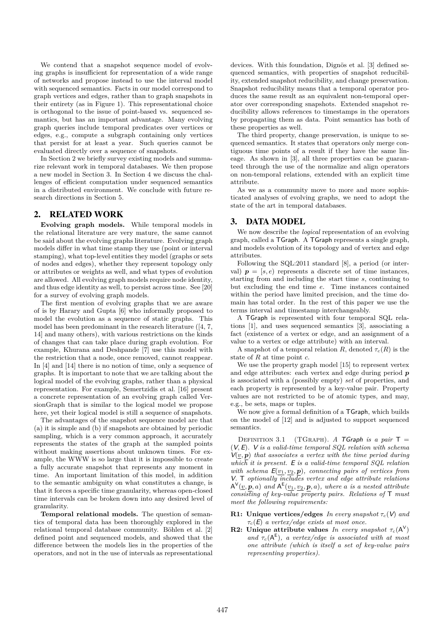We contend that a snapshot sequence model of evolving graphs is insufficient for representation of a wide range of networks and propose instead to use the interval model with sequenced semantics. Facts in our model correspond to graph vertices and edges, rather than to graph snapshots in their entirety (as in Figure 1). This representational choice is orthogonal to the issue of point-based vs. sequenced semantics, but has an important advantage. Many evolving graph queries include temporal predicates over vertices or edges, e.g., compute a subgraph containing only vertices that persist for at least a year. Such queries cannot be evaluated directly over a sequence of snapshots.

In Section 2 we briefly survey existing models and summarize relevant work in temporal databases. We then propose a new model in Section 3. In Section 4 we discuss the challenges of efficient computation under sequenced semantics in a distributed environment. We conclude with future research directions in Section 5.

### 2. RELATED WORK

**Evolving graph models.** While temporal models in the relational literature are very mature, the same cannot be said about the evolving graphs literature. Evolving graph models differ in what time stamp they use (point or interval stamping), what top-level entities they model (graphs or sets of nodes and edges), whether they represent topology only or attributes or weights as well, and what types of evolution are allowed. All evolving graph models require node identity, and thus edge identity as well, to persist across time. See [20] for a survey of evolving graph models.

The first mention of evolving graphs that we are aware of is by Harary and Gupta [6] who informally proposed to model the evolution as a sequence of static graphs. This model has been predominant in the research literature ([4, 7, 14] and many others), with various restrictions on the kinds of changes that can take place during graph evolution. For example, Khurana and Deshpande [7] use this model with the restriction that a node, once removed, cannot reappear. In [4] and [14] there is no notion of time, only a sequence of graphs. It is important to note that we are talking about the logical model of the evolving graphs, rather than a physical representation. For example, Semertzidis et al. [16] present a concrete representation of an evolving graph called VersionGraph that is similar to the logical model we propose here, yet their logical model is still a sequence of snapshots.

The advantages of the snapshot sequence model are that (a) it is simple and (b) if snapshots are obtained by periodic sampling, which is a very common approach, it accurately represents the states of the graph at the sampled points without making assertions about unknown times. For example, the WWW is so large that it is impossible to create a fully accurate snapshot that represents any moment in time. An important limitation of this model, in addition to the semantic ambiguity on what constitutes a change, is that it forces a specific time granularity, whereas open-closed time intervals can be broken down into any desired level of granularity.

**Temporal relational models.** The question of semantics of temporal data has been thoroughly explored in the relational temporal database community. Böhlen et al. [2] defined point and sequenced models, and showed that the difference between the models lies in the properties of the operators, and not in the use of intervals as representational

devices. With this foundation, Dignös et al. [3] defined sequenced semantics, with properties of snapshot reducibility, extended snapshot reducibility, and change preservation. Snapshot reducibility means that a temporal operator produces the same result as an equivalent non-temporal operator over corresponding snapshots. Extended snapshot reducibility allows references to timestamps in the operators by propagating them as data. Point semantics has both of these properties as well.

The third property, change preservation, is unique to sequenced semantics. It states that operators only merge contiguous time points of a result if they have the same lineage. As shown in [3], all three properties can be guaranteed through the use of the normalize and align operators on non-temporal relations, extended with an explicit time attribute.

As we as a community move to more and more sophisticated analyses of evolving graphs, we need to adopt the state of the art in temporal databases.

#### 3. DATA MODEL

We now describe the *logical* representation of an evolving graph, called a TGraph. A TGraph represents a single graph, and models evolution of its topology and of vertex and edge attributes.

Following the SQL:2011 standard [8], a period (or interval)  $p = [s, e]$  represents a discrete set of time instances, starting from and including the start time *s*, continuing to but excluding the end time *e*. Time instances contained within the period have limited precision, and the time domain has total order. In the rest of this paper we use the terms interval and timestamp interchangeably.

A TGraph is represented with four temporal SQL relations [1], and uses sequenced semantics [3], associating a fact (existence of a vertex or edge, and an assignment of a value to a vertex or edge attribute) with an interval.

A snapshot of a temporal relation *R*, denoted  $\tau_c(R)$  is the state of *R* at time point *c*.

We use the property graph model [15] to represent vertex and edge attributes: each vertex and edge during period *p* is associated with a (possibly empty) *set* of properties, and each property is represented by a key-value pair. Property values are not restricted to be of atomic types, and may, e.g., be sets, maps or tuples.

We now give a formal definition of a TGraph, which builds on the model of [12] and is adjusted to support sequenced semantics.

DEFINITION 3.1 (TGRAPH). *A* TGraph is a pair  $T =$ (V*,* E)*.* V *is a valid-time temporal SQL relation with schema*  $V(v, p)$  that associates a vertex with the time period during *which* it is present. E is a valid-time temporal  $SQL$  relation *with schema*  $E(v_1, v_2, p)$ *, connecting pairs of vertices from* V*.* T *optionally includes vertex and edge attribute relations*  $A^{V}(\underline{v}, \mathbf{p}, a)$  and  $A^{E}(v_1, v_2, \mathbf{p}, a)$ , where a is a nested attribute *consisting of key-value property pairs. Relations of* T *must meet the following requirements:*

**R1:** Unique vertices/edges *In every snapshot*  $\tau_c(V)$  *and τc*(E) *a vertex/edge exists at most once.*

**R2:** Unique attribute values *In every snapshot*  $\tau_c(A^V)$ and  $\tau_c(A^E)$ , a vertex/edge is associated with at most *one attribute (which is itself a set of key-value pairs representing properties).*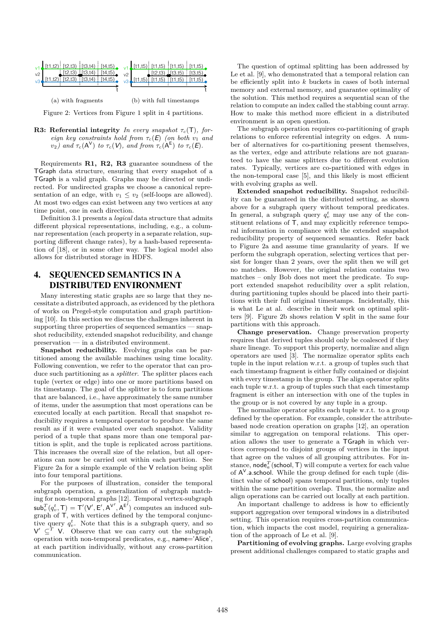

Figure 2: Vertices from Figure 1 split in 4 partitions.

**R3: Referential integrity** *In every snapshot τc*(T)*, foreign key constraints hold from*  $\tau_c(E)$  *(on both v<sub>1</sub> and v*<sub>2</sub>) and  $\tau_c(A^V)$  *to*  $\tau_c(V)$ *, and from*  $\tau_c(A^E)$  *to*  $\tau_c(E)$ *.* 

Requirements **R1, R2, R3** guarantee soundness of the TGraph data structure, ensuring that every snapshot of a TGraph is a valid graph. Graphs may be directed or undirected. For undirected graphs we choose a canonical representation of an edge, with  $v_1 \le v_2$  (self-loops are allowed). At most two edges can exist between any two vertices at any time point, one in each direction.

Definition 3.1 presents a *logical* data structure that admits different physical representations, including, e.g., a columnar representation (each property in a separate relation, supporting different change rates), by a hash-based representation of [18], or in some other way. The logical model also allows for distributed storage in HDFS.

# 4. SEQUENCED SEMANTICS IN A DISTRIBUTED ENVIRONMENT

Many interesting static graphs are so large that they necessitate a distributed approach, as evidenced by the plethora of works on Pregel-style computation and graph partitioning [10]. In this section we discuss the challenges inherent in supporting three properties of sequenced semantics — snapshot reducibility, extended snapshot reducibility, and change preservation — in a distributed environment.

**Snapshot reducibility.** Evolving graphs can be partitioned among the available machines using time locality. Following convention, we refer to the operator that can produce such partitioning as a *splitter*. The splitter places each tuple (vertex or edge) into one or more partitions based on its timestamp. The goal of the splitter is to form partitions that are balanced, i.e., have approximately the same number of items, under the assumption that most operations can be executed locally at each partition. Recall that snapshot reducibility requires a temporal operator to produce the same result as if it were evaluated over each snapshot. Validity period of a tuple that spans more than one temporal partition is split, and the tuple is replicated across partitions. This increases the overall size of the relation, but all operations can now be carried out within each partition. See Figure 2a for a simple example of the V relation being split into four temporal partitions.

For the purposes of illustration, consider the temporal subgraph operation, a generalization of subgraph matching for non-temporal graphs [12]. Temporal vertex-subgraph  $\mathsf{sub}_v^T(q_v^t, \mathsf{T}) = \mathsf{T}'(\mathsf{V}', \mathsf{E}', \mathsf{A}^{\mathsf{V}'}, \mathsf{A}^{\mathsf{E}'})$  computes an induced subgraph of T, with vertices defined by the temporal conjunctive query  $q_v^t$ . Note that this is a subgraph query, and so  $V' \subseteq^T V$ . Observe that we can carry out the subgraph operation with non-temporal predicates, e.g., name='Alice', at each partition individually, without any cross-partition communication.

The question of optimal splitting has been addressed by Le et al. [9], who demonstrated that a temporal relation can be efficiently split into *k* buckets in cases of both internal memory and external memory, and guarantee optimality of the solution. This method requires a sequential scan of the relation to compute an index called the stabbing count array. How to make this method more efficient in a distributed environment is an open question.

The subgraph operation requires co-partitioning of graph relations to enforce referential integrity on edges. A number of alternatives for co-partitioning present themselves, as the vertex, edge and attribute relations are not guaranteed to have the same splitters due to different evolution rates. Typically, vertices are co-partitioned with edges in the non-temporal case [5], and this likely is most efficient with evolving graphs as well.

**Extended snapshot reducibility.** Snapshot reducibility can be guaranteed in the distributed setting, as shown above for a subgraph query without temporal predicates. In general, a subgraph query  $q_v^t$  may use any of the constituent relations of T, and may explicitly reference temporal information in compliance with the extended snapshot reducibility property of sequenced semantics. Refer back to Figure 2a and assume time granularity of years. If we perform the subgraph operation, selecting vertices that persist for longer than 2 years, over the split then we will get no matches. However, the original relation contains two matches – only Bob does not meet the predicate. To support extended snapshot reducibility over a split relation, during partitioning tuples should be placed into their partitions with their full original timestamps. Incidentally, this is what Le at al. describe in their work on optimal splitters [9]. Figure 2b shows relation V split in the same four partitions with this approach.

**Change preservation.** Change preservation property requires that derived tuples should only be coalesced if they share lineage. To support this property, normalize and align operators are used [3]. The normalize operator splits each tuple in the input relation w.r.t. a group of tuples such that each timestamp fragment is either fully contained or disjoint with every timestamp in the group. The align operator splits each tuple w.r.t. a group of tuples such that each timestamp fragment is either an intersection with one of the tuples in the group or is not covered by any tuple in a group.

The normalize operator splits each tuple w.r.t. to a group defined by the operation. For example, consider the attributebased node creation operation on graphs [12], an operation similar to aggregation on temporal relations. This operation allows the user to generate a TGraph in which vertices correspond to disjoint groups of vertices in the input that agree on the values of all grouping attributes. For instance,  $\textsf{node}_a^T(\textsf{school}, \mathsf{T})$  will compute a vertex for each value of  $A^V$  a school. While the group defined for each tuple (distinct value of school) spans temporal partitions, only tuples within the same partition overlap. Thus, the normalize and align operations can be carried out locally at each partition.

An important challenge to address is how to efficiently support aggregation over temporal windows in a distributed setting. This operation requires cross-partition communication, which impacts the cost model, requiring a generalization of the approach of Le et al. [9].

**Partitioning of evolving graphs.** Large evolving graphs present additional challenges compared to static graphs and